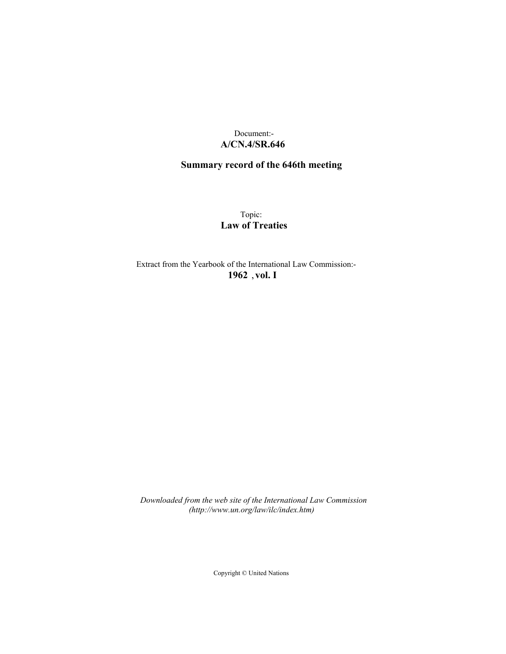## Document:- **A/CN.4/SR.646**

## **Summary record of the 646th meeting**

Topic: **Law of Treaties**

Extract from the Yearbook of the International Law Commission:- **1962** ,**vol. I**

*Downloaded from the web site of the International Law Commission (http://www.un.org/law/ilc/index.htm)*

Copyright © United Nations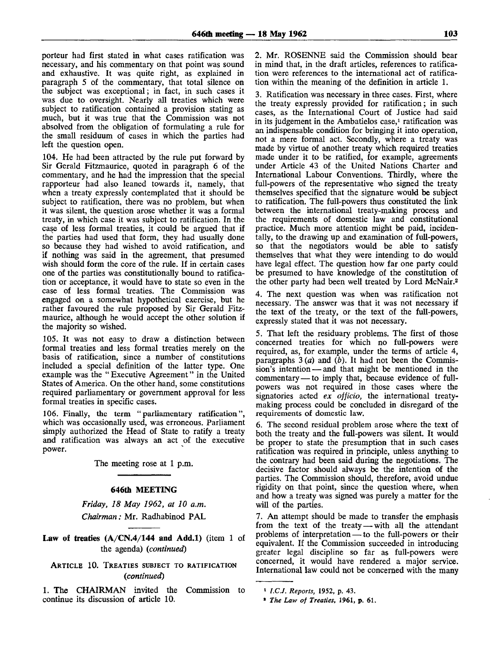porteur had first stated in what cases ratification was necessary, and his commentary on that point was sound and exhaustive. It was quite right, as explained in paragraph 5 of the commentary, that total silence on the subject was exceptional; in fact, in such cases it was due to oversight. Nearly all treaties which were subject to ratification contained a provision stating as much, but it was true that the Commission was not absolved from the obligation of formulating a rule for the small residuum of cases in which the parties had left the question open.

104. He had been attracted by the rule put forward by Sir Gerald Fitzmaurice, quoted in paragraph 6 of the commentary, and he had the impression that the special rapporteur had also leaned towards it, namely, that when a treaty expressly contemplated that it should be subject to ratification, there was no problem, but when it was silent, the question arose whether it was a formal treaty, in which case it was subject to ratification. In the case of less formal treaties, it could be argued that if the parties had used that form, they had usually done so because they had wished to avoid ratification, and if nothing was said in the agreement, that presumed wish should form the core of the rule. If in certain cases one of the parties was constitutionally bound to ratification or acceptance, it would have to state so even in the case of less formal treaties. The Commission was engaged on a somewhat hypothetical exercise, but he rather favoured the rule proposed by Sir Gerald Fitzmaurice, although he would accept the other solution if the majority so wished.

105. It was not easy to draw a distinction between formal treaties and less formal treaties merely on the basis of ratification, since a number of constitutions included a special definition of the latter type. One example was the " Executive Agreement" in the United States of America. On the other hand, some constitutions required parliamentary or government approval for less formal treaties in specific cases.

106. Finally, the term "parliamentary ratification", which was occasionally used, was erroneous. Parliament simply authorized the Head of State to ratify a treaty and ratification was always an act of the executive power.

The meeting rose at 1 p.m.

## **646th** MEETING

*Friday, 18 May 1962, at 10 a.m. Chairman:* Mr. Radhabinod PAL

**Law of treaties**  $(A/CN.4/144$  **and Add.1)** (item 1 of the agenda) *{continued)*

ARTICLE 10. TREATIES SUBJECT TO RATIFICATION *{continued)*

1. The CHAIRMAN invited the Commission to continue its discussion of article 10.

2. Mr. ROSENNE said the Commission should bear in mind that, in the draft articles, references to ratification were references to the international act of ratification within the meaning of the definition in article 1.

3. Ratification was necessary in three cases. First, where the treaty expressly provided for ratification; in such cases, as the International Court of Justice had said in its judgement in the Ambatielos case,<sup>1</sup> ratification was an indispensable condition for bringing it into operation, not a mere formal act. Secondly, where a treaty was made by virtue of another treaty which required treaties made under it to be ratified, for example, agreements under Article 43 of the United Nations Charter and International Labour Conventions. Thirdly, where the full-powers of the representative who signed the treaty themselves specified that the signature would be subject to ratification. The full-powers thus constituted the link between the international treaty-making process and the requirements of domestic law and constitutional practice. Much more attention might be paid, incidentally, to the drawing up and examination of full-powers, so that the negotiators would be able to satisfy themselves that what they were intending to do would have legal effect. The question how far one party could be presumed to have knowledge of the constitution of the other party had been well treated by Lord McNair.<sup>2</sup>

4. The next question was when was ratification not necessary. The answer was that it was not necessary if the text of the treaty, or the text of the full-powers, expressly stated that it was not necessary.

5. That left the residuary problems. The first of those concerned treaties for which no full-powers were required, as, for example, under the terms of article 4, paragraphs 3 *{a)* and *{b).* It had not been the Commission's intention — and that might be mentioned in the commentary — to imply that, because evidence of fullpowers was not required in those cases where the signatories acted *ex officio,* the international treatymaking process could be concluded in disregard of the requirements of domestic law.

6. The second residual problem arose where the text of both the treaty and the full-powers was silent. It would be proper to state the presumption that in such cases ratification was required in principle, unless anything to the contrary had been said during the negotiations. The decisive factor should always be the intention of the parties. The Commission should, therefore, avoid undue rigidity on that point, since the question where, when and how a treaty was signed was purely a matter for the will of the parties.

7. An attempt should be made to transfer the emphasis from the text of the treaty — with all the attendant problems of interpretation — to the full-powers or their equivalent. If the Commission succeeded in introducing greater legal discipline so far as full-powers were concerned, it would have rendered a major service. International law could not be concerned with the many

**<sup>1</sup>**  *I.C.J. Reports,* **1952, p. 43.**

**<sup>8</sup>**  *The Law of Treaties,* **1961, p. 61.**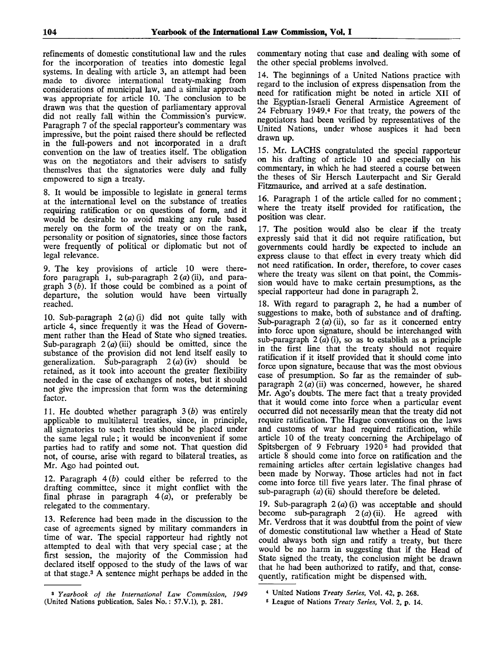refinements of domestic constitutional law and the rules for the incorporation of treaties into domestic legal systems. In dealing with article 3, an attempt had been made to divorce international treaty-making from considerations of municipal law, and a similar approach was appropriate for article 10. The conclusion to be drawn was that the question of parliamentary approval did not really fall within the Commission's purview. Paragraph 7 of the special rapporteur's commentary was impressive, but the point raised there should be reflected in the full-powers and not incorporated in a draft convention on the law of treaties itself. The obligation was on the negotiators and their advisers to satisfy themselves that the signatories were duly and fully empowered to sign a treaty.

8. It would be impossible to legislate in general terms at the international level on the substance of treaties requiring ratification or on questions of form, and it would be desirable to avoid making any rule based merely on the form of the treaty or on the rank, personality or position of signatories, since those factors were frequently of political or diplomatic but not of legal relevance.

9. The key provisions of article 10 were therefore paragraph 1, sub-paragraph 2 *(a)* (ii), and paragraph 3 *(b).* If those could be combined as a point of departure, the solution would have been virtually reached.

10. Sub-paragraph  $2(a)(i)$  did not quite tally with article 4, since frequently it was the Head of Government rather than the Head of State who signed treaties. Sub-paragraph  $2(a)$  (iii) should be omitted, since the substance of the provision did not lend itself easily to generalization. Sub-paragraph  $2(a)$  (iv) should be retained, as it took into account the greater flexibility needed in the case of exchanges of notes, but it should not give the impression that form was the determining factor.

11. He doubted whether paragraph *3(b)* was entirely applicable to multilateral treaties, since, in principle, all signatories to such treaties should be placed under the same legal rule; it would be inconvenient if some parties had to ratify and some not. That question did not, of course, arise with regard to bilateral treaties, as Mr. Ago had pointed out.

12. Paragraph  $4(b)$  could either be referred to the drafting committee, since it might conflict with the final phrase in paragraph  $4(a)$ , or preferably be relegated to the commentary.

13. Reference had been made in the discussion to the case of agreements signed by military commanders in time of war. The special rapporteur had rightly not attempted to deal with that very special case; at the first session, the majority of the Commission had declared itself opposed to the study of the laws of war at that stage.<sup>3</sup> A sentence might perhaps be added in the

commentary noting that case and dealing with some of the other special problems involved.

14. The beginnings of a United Nations practice with regard to the inclusion of express dispensation from the need for ratification might be noted in article XII of the Egyptian-Israeli General Armistice Agreement of 24 February 1949.<sup>4</sup> For that treaty, the powers of the negotiators had been verified by representatives of the United Nations, under whose auspices it had been drawn up.

15. Mr. LACHS congratulated the special rapporteur on his drafting of article 10 and especially on his commentary, in which he had steered a course between the theses of Sir Hersch Lauterpacht and Sir Gerald Fitzmaurice, and arrived at a safe destination.

16. Paragraph 1 of the article called for no comment; where the treaty itself provided for ratification, the position was clear.

17. The position would also be clear if the treaty expressly said that it did not require ratification, but governments could hardly be expected to include an express clause to that effect in every treaty which did not need ratification. In order, therefore, to cover cases where the treaty was silent on that point, the Commission would have to make certain presumptions, as the special rapporteur had done in paragraph 2.

18. With regard to paragraph 2, he had a number of suggestions to make, both of substance and of drafting. Sub-paragraph 2 *(a)* (ii), so far as it concerned entry into force upon signature, should be interchanged with sub-paragraph  $2(a)(i)$ , so as to establish as a principle in the first line that the treaty should not require ratification if it itself provided that it should come into force upon signature, because that was the most obvious case of presumption. So far as the remainder of subparagraph  $2(a)(ii)$  was concerned, however, he shared Mr. Ago's doubts. The mere fact that a treaty provided that it would come into force when a particular event occurred did not necessarily mean that the treaty did not require ratification. The Hague conventions on the laws and customs of war had required ratification, while article 10 of the treaty concerning the Archipelago of Spitsbergen of 9 February 1920<sup>5</sup> had provided that article 8 should come into force on ratification and the remaining articles after certain legislative changes had been made by Norway. Those articles had not in fact come into force till five years later. The final phrase of sub-paragraph *(a)* (ii) should therefore be deleted.

19. Sub-paragraph  $2(a)(i)$  was acceptable and should become sub-paragraph  $2(a)$  (ii). He agreed with Mr. Verdross that it was doubtful from the point of view of domestic constitutional law whether a Head of State could always both sign and ratify a treaty, but there would be no harm in suggesting that if the Head of State signed the treaty, the conclusion might be drawn that he had been authorized to ratify, and that, consequently, ratification might be dispensed with.

<sup>3</sup>  *Yearbook of the International Law Commission, 1949* (United Nations publication, Sales No.: 57.V.1), p. 281.

<sup>4</sup> United Nations *Treaty Series,* Vol. 42, p. 268.

<sup>5</sup> League of Nations *Treaty Series,* Vol. 2, p. 14.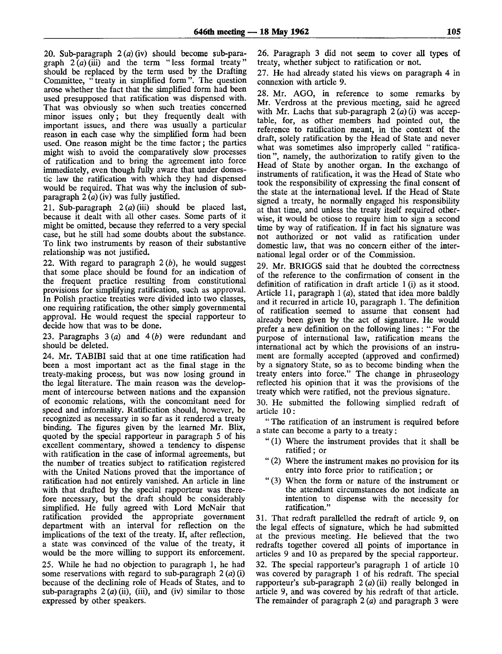20. Sub-paragraph  $2(a)(iv)$  should become sub-paragraph  $2(a)$  (iii) and the term "less formal treaty" should be replaced by the term used by the Drafting Committee, "treaty in simplified form". The question arose whether the fact that the simplified form had been used presupposed that ratification was dispensed with. That was obviously so when such treaties concerned minor issues only; but they frequently dealt with important issues, and there was usually a particular reason in each case why the simplified form had been used. One reason might be the time factor; the parties might wish to avoid the comparatively slow processes of ratification and to bring the agreement into force immediately, even though fully aware that under domestic law the ratification with which they had dispensed would be required. That was why the inclusion of subparagraph  $2(a)$  (iv) was fully justified.

21. Sub-paragraph  $2(a)(iii)$  should be placed last, because it dealt with all other cases. Some parts of it might be omitted, because they referred to a very special case, but he still had some doubts about the substance. To link two instruments by reason of their substantive relationship was not justified.

22. With regard to paragraph *2(b),* he would suggest that some place should be found for an indication of the frequent practice resulting from constitutional provisions for simplifying ratification, such as approval. In Polish practice treaties were divided into two classes, one requiring ratification, the other simply governmental approval. He would request the special rapporteur to decide how that was to be done.

23. Paragraphs 3 *(a)* and 4 *(b)* were redundant and should be deleted.

24. Mr. TABIBI said that at one time ratification had been a most important act as the final stage in the treaty-making process, but was now losing ground in the legal literature. The main reason was the development of intercourse between nations and the expansion of economic relations, with the concomitant need for speed and informality. Ratification should, however, be recognized as necessary in so far as it rendered a treaty binding. The figures given by the learned Mr. Blix, quoted by the special rapporteur in paragraph 5 of his excellent commentary, showed a tendency to dispense with ratification in the case of informal agreements, but the number of treaties subject to ratification registered with the United Nations proved that the importance of ratification had not entirely vanished. An article in line with that drafted by the special rapporteur was therefore necessary, but the draft should be considerably simplified. He fully agreed with Lord McNair that ratification provided the appropriate government department with an interval for reflection on the implications of the text of the treaty. If, after reflection, a state was convinced of the value of the treaty, it would be the more willing to support its enforcement.

25. While he had no objection to paragraph 1, he had some reservations with regard to sub-paragraph 2 *(a)* (i) because of the declining role of Heads of States, and to sub-paragraphs  $2(a)$  (ii), (iii), and (iv) similar to those expressed by other speakers.

26. Paragraph 3 did not seem to cover all types of treaty, whether subject to ratification or not.

27. He had already stated his views on paragraph 4 in connexion with article 9.

28. Mr. AGO, in reference to some remarks by Mr. Verdross at the previous meeting, said he agreed with Mr. Lachs that sub-paragraph 2 *(a)* (i) was acceptable, for, as other members had pointed out, the reference to ratification meant, in the context of the draft, solely ratification by the Head of State and never what was sometimes also improperly called "ratification", namely, the authorization to ratify given to the Head of State by another organ. In the exchange of instruments of ratification, it was the Head of State who took the responsibility of expressing the final consent of the state at the international level. If the Head of State signed a treaty, he normally engaged his responsibility at that time, and unless the treaty itself required otherwise, it would be otiose to require him to sign a second time by way of ratification. If in fact his signature was not authorized or not valid as ratification under domestic law, that was no concern either of the international legal order or of the Commission.

29. Mr. BRIGGS said that he doubted the correctness of the reference to the confirmation of consent in the definition of ratification in draft article 1 (i) as it stood. Article 11, paragraph  $1(a)$ , stated that idea more baldly and it recurred in article 10, paragraph 1. The definition of ratification seemed to assume that consent had already been given by the act of signature. He would prefer a new definition on the following lines: " For the purpose of international law, ratification means the international act by which the provisions of an instrument are formally accepted (approved and confirmed) by a signatory State, so as to become binding when the treaty enters into force." The change in phraseology reflected his opinion that it was the provisions of the treaty which were ratified, not the previous signature.

30. He submitted the following simplied redraft of article 10:

" The ratification of an instrument is required before a state can become a party to a treaty:

- "(1) Where the instrument provides that it shall be ratified; or
- " (2) Where the instrument makes no provision for its entry into force prior to ratification; or
- " (3) When the form or nature of the instrument or the attendant circumstances do not indicate an intention to dispense with the necessity for ratification."

31. That redraft parallelled the redraft of article 9, on the legal effects of signature, which he had submitted at the previous meeting. He believed that the two redrafts together covered all points of importance in articles 9 and 10 as prepared by the special rapporteur. 32. The special rapporteur's paragraph 1 of article 10 was covered by paragraph 1 of his redraft. The special rapporteur's sub-paragraph 2 *(a)* (ii) really belonged in article 9, and was covered by his redraft of that article. The remainder of paragraph  $2(a)$  and paragraph 3 were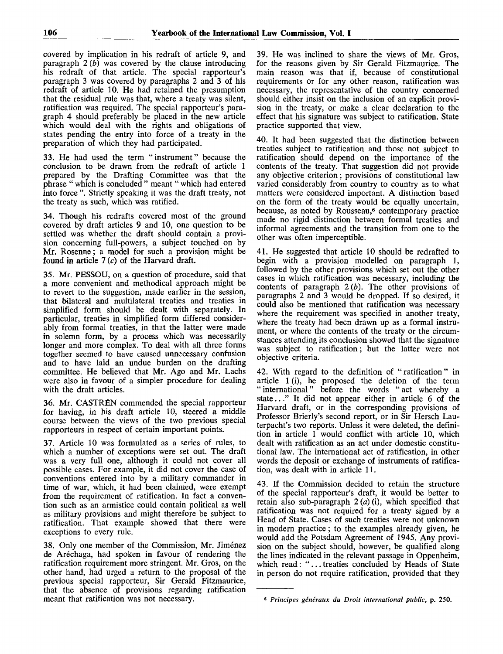covered by implication in his redraft of article 9, and paragraph *2 (b)* was covered by the clause introducing his redraft of that article. The special rapporteur's paragraph 3 was covered by paragraphs 2 and 3 of his redraft of article 10. He had retained the presumption that the residual rule was that, where a treaty was silent, ratification was required. The special rapporteur's paragraph 4 should preferably be placed in the new article which would deal with the rights and obligations of states pending the entry into force of a treaty in the preparation of which they had participated.

33. He had used the term "instrument" because the conclusion to be drawn from the redraft of article 1 prepared by the Drafting Committee was that the phrase " which is concluded " meant " which had entered into force ". Strictly speaking it was the draft treaty, not the treaty as such, which was ratified.

34. Though his redrafts covered most of the ground covered by draft articles 9 and 10, one question to be settled was whether the draft should contain a provision concerning full-powers, a subject touched on by Mr. Rosenne; a model for such a provision might be found in article  $7(c)$  of the Harvard draft.

35. Mr. PESSOU, on a question of procedure, said that a more convenient and methodical approach might be to revert to the suggestion, made earlier in the session, that bilateral and multilateral treaties and treaties in simplified form should be dealt with separately. In particular, treaties in simplified form differed considerably from formal treaties, in that the latter were made in solemn form, by a process which was necessarily longer and more complex. To deal with all three forms together seemed to have caused unnecessary confusion and to have laid an undue burden on the drafting committee. He believed that Mr. Ago and Mr. Lachs were also in favour of a simpler procedure for dealing with the draft articles.

36. Mr. CASTRÉN commended the special rapporteur for having, in his draft article 10, steered a middle course between the views of the two previous special rapporteurs in respect of certain important points.

37. Article 10 was formulated as a series of rules, to which a number of exceptions were set out. The draft was a very full one, although it could not cover all possible cases. For example, it did not cover the case of conventions entered into by a military commander in time of war, which, it had been claimed, were exempt from the requirement of ratification. In fact a convention such as an armistice could contain political as well as military provisions and might therefore be subject to ratification. That example showed that there were exceptions to every rule.

38. Only one member of the Commission, Mr. Jiménez de Aréchaga, had spoken in favour of rendering the ratification requirement more stringent. Mr. Gros, on the other hand, had urged a return to the proposal of the previous special rapporteur, Sir Gerald Fitzmaurice, that the absence of provisions regarding ratification meant that ratification was not necessary.

39. He was inclined to share the views of Mr. Gros, for the reasons given by Sir Gerald Fitzmaurice. The main reason was that if, because of constitutional requirements or for any other reason, ratification was necessary, the representative of the country concerned should either insist on the inclusion of an explicit provision in the treaty, or make a clear declaration to the effect that his signature was subject to ratification. State practice supported that view.

40. It had been suggested that the distinction between treaties subject to ratification and those not subject to ratification should depend on the importance of the contents of the treaty. That suggestion did not provide any objective criterion; provisions of constitutional law varied considerably from country to country as to what matters were considered important. A distinction based on the form of the treaty would be equally uncertain, because, as noted by Rousseau,<sup>6</sup> contemporary practice made no rigid distinction between formal treaties and informal agreements and the transition from one to the other was often imperceptible.

41. He suggested that article 10 should be redrafted to begin with a provision modelled on paragraph 1, followed by the other provisions which set out the other cases in which ratification was necessary, including the contents of paragraph  $2(b)$ . The other provisions of paragraphs 2 and 3 would be dropped. If so desired, it could also be mentioned that ratification was necessary where the requirement was specified in another treaty, where the treaty had been drawn up as a formal instrument, or where the contents of the treaty or the circumstances attending its conclusion showed that the signature was subject to ratification; but the latter were not objective criteria.

42. With regard to the definition of "ratification" in article 1 (i), he proposed the deletion of the term " international" before the words " act whereby a state..." It did not appear either in article 6 of the Harvard draft, or in the corresponding provisions of Professor Brierly's second report, or in Sir Hersch Lauterpacht's two reports. Unless it were deleted, the definition in article 1 would conflict with article 10, which dealt with ratification as an act under domestic constitutional law. The international act of ratification, in other words the deposit or exchange of instruments of ratification, was dealt with in article 11.

43. If the Commission decided to retain the structure of the special rapporteur's draft, it would be better to retain also sub-paragraph 2 *(a)* (i), which specified that ratification was not required for a treaty signed by a Head of State. Cases of such treaties were not unknown in modern practice; to the examples already given, he would add the Potsdam Agreement of 1945. Any provision on the subject should, however, be qualified along the lines indicated in the relevant passage in Oppenheim, which read: ".. . treaties concluded by Heads of State in person do not require ratification, provided that they

<sup>6</sup>  *Principes generaux du Droit international public,* p. 250.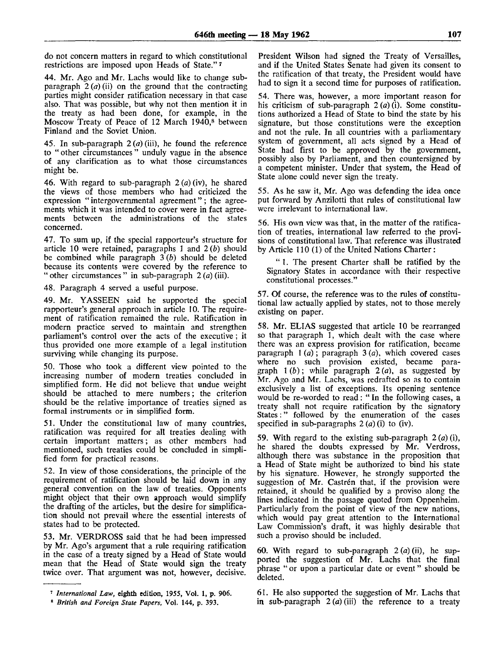do not concern matters in regard to which constitutional restrictions are imposed upon Heads of State."<sup>7</sup>

44. Mr. Ago and Mr. Lachs would like to change subparagraph 2 *(a)* (ii) on the ground that the contracting parties might consider ratification necessary in that case also. That was possible, but why not then mention it in the treaty as had been done, for example, in the Moscow Treaty of Peace of 12 March 1940,<sup>8</sup> between Finland and the Soviet Union.

45. In sub-paragraph  $2(a)$  (iii), he found the reference to " other circumstances " unduly vague in the absence of any clarification as to what those circumstances might be.

46. With regard to sub-paragraph 2 *(a)* (iv), he shared the views of those members who had criticized the expression " intergovernmental agreement" ; the agreements which it was intended to cover were in fact agreements between the administrations of the states concerned.

47. To sum up, if the special rapporteur's structure for article 10 were retained, paragraphs 1 and 2 *(b)* should be combined while paragraph 3 *(b)* should be deleted because its contents were covered by the reference to " other circumstances " in sub-paragraph 2 *(a)* (iii).

48. Paragraph 4 served a useful purpose.

49. Mr. YASSEEN said he supported the special rapporteur's general approach in article 10. The requirement of ratification remained the rule. Ratification in modern practice served to maintain and strengthen parliament's control over the acts of the executive ; it thus provided one more example of a legal institution surviving while changing its purpose.

50. Those who took a different view pointed to the increasing number of modern treaties concluded in simplified form. He did not believe that undue weight should be attached to mere numbers; the criterion should be the relative importance of treaties signed as formal instruments or in simplified form.

51. Under the constitutional law of many countries, ratification was required for all treaties dealing with certain important matters; as other members had mentioned, such treaties could be concluded in simplified form for practical reasons.

52. In view of those considerations, the principle of the requirement of ratification should be laid down in any general convention on the law of treaties. Opponents might object that their own approach would simplify the drafting of the articles, but the desire for simplification should not prevail where the essential interests of states had to be protected.

53. Mr. VERDROSS said that he had been impressed by Mr. Ago's argument that a rule requiring ratification in the case of a treaty signed by a Head of State would mean that the Head of State would sign the treaty twice over. That argument was not, however, decisive.

President Wilson had signed the Treaty of Versailles, and if the United States Senate had given its consent to the ratification of that treaty, the President would have had to sign it a second time for purposes of ratification.

54. There was, however, a more important reason for his criticism of sub-paragraph 2 *(a)* (i). Some constitutions authorized a Head of State to bind the state by his signature, but those constitutions were the exception and not the rule. In all countries with a parliamentary system of government, all acts signed by a Head of State had first to be approved by the government, possibly also by Parliament, and then countersigned by a competent minister. Under that system, the Head of State alone could never sign the treaty.

55. As he saw it, Mr. Ago was defending the idea once put forward by Anzilotti that rules of constitutional law were irrelevant to international law.

56. His own view was that, in the matter of the ratification of treaties, international law referred to the provisions of constitutional law. That reference was illustrated by Article 110 (1) of the United Nations Charter :

" 1. The present Charter shall be ratified by the Signatory States in accordance with their respective constitutional processes."

57. Of course, the reference was to the rules of constitutional law actually applied by states, not to those merely existing on paper.

58. Mr. ELIAS suggested that article 10 be rearranged so that paragraph 1, which dealt with the case where there was an express provision for ratification, became paragraph 1 *(a)*; paragraph 3 *(a),* which covered cases where no such provision existed, became paragraph  $1(b)$ ; while paragraph  $2(a)$ , as suggested by Mr. Ago and Mr. Lachs, was redrafted so as to contain exclusively a list of exceptions. Its opening sentence would be re-worded to read: " In the following cases, a treaty shall not require ratification by the signatory States:" followed by the enumeration of the cases specified in sub-paragraphs 2 *(a)* (i) to (iv).

59. With regard to the existing sub-paragraph 2 *(a)* (i), he shared the doubts expressed by Mr. Verdross, although there was substance in the proposition that a Head of State might be authorized to bind his state by his signature. However, he strongly supported the suggestion of Mr. Castrén that, if the provision were retained, it should be qualified by a proviso along the lines indicated in the passage quoted from Oppenheim. Particularly from the point of view of the new nations, which would pay great attention to the International Law Commission's draft, it was highly desirable that such a proviso should be included.

60. With regard to sub-paragraph 2 *(a)* (ii), he supported the suggestion of Mr. Lachs that the final phrase " or upon a particular date or event" should be deleted.

61. He also supported the suggestion of Mr. Lachs that in sub-paragraph  $2(a)$  (iii) the reference to a treaty

<sup>7</sup>  *International Law,* eighth edition, 1955, Vol. 1, p. 906.

<sup>8</sup>  *British and Foreign State Papers,* Vol. 144, p. 393.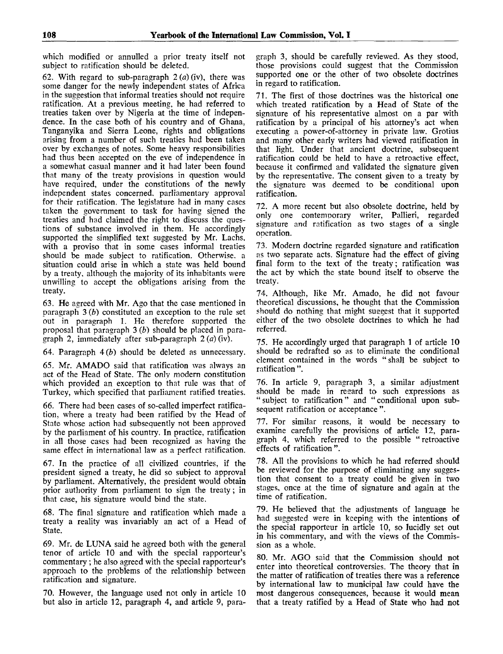which modified or annulled a prior treaty itself not subject to ratification should be deleted.

62. With regard to sub-paragraph 2 *(a)* (iv), there was some danger for the newly independent states of Africa in the suggestion that informal treaties should not require ratification. At a previous meeting, he had referred to treaties taken over by Nigeria at the time of independence. In the case both of his country and of Ghana, Tanganyika and Sierra Leone, rights and obligations arising from a number of such treaties had been taken over by exchanges of notes. Some heavy responsibilities had thus been accepted on the eve of independence in a somewhat casual manner and it had later been found that many of the treaty provisions in question would have required, under the constitutions of the newly independent states concerned, parliamentary approval for their ratification. The legislature had in many cases taken the government to task for having signed the treaties and had claimed the right to discuss the questions of substance involved in them. He accordingly supported the simplified text suggested by Mr. Lachs, with a proviso that in some cases informal treaties should be made subject to ratification. Otherwise, a situation could arise in which a state was held bound by a treaty, although the majority of its inhabitants were unwilling to accept the obligations arising from the treaty.

63. He agreed with Mr. Ago that the case mentioned in paragraph 3 *(b)* constituted an exception to the rule set out in paragraph 1. He therefore supported the proposal that paragraph 3 *(b)* should be placed in paragraph 2, immediately after sub-paragraph 2 *(a)* (iv).

64. Paragraph *4(b)* should be deleted as unnecessary.

65. Mr. AMADO said that ratification was always an act of the Head of State. The only modern constitution which provided an exception to that rule was that of Turkey, which specified that parliament ratified treaties.

66. There had been cases of so-called imperfect ratification, where a treaty had been ratified bv the Head of State whose action had subsequently not been approved by the parliament of his country. In practice, ratification in all those cases had been recognized as having the same effect in international law as a perfect ratification.

67. In the practice of all civilized countries, if the president signed a treaty, he did so subject to approval by parliament. Alternatively, the president would obtain prior authority from parliament to sign the treaty; in that case, his signature would bind the state.

68. The final signature and ratification which made a treaty a reality was invariably an act of a Head of State.

69. Mr. de LUNA said he agreed both with the general tenor of article 10 and with the special rapporteur's commentary ; he also agreed with the special rapporteur's approach to the problems of the relationship between ratification and signature.

70. However, the language used not only in article 10 but also in article 12, paragraph 4, and article 9, paragraph 3, should be carefully reviewed. As they stood, those provisions could suggest that the Commission supported one or the other of two obsolete doctrines in regard to ratification.

71. The first of those doctrines was the historical one which treated ratification by a Head of State of the signature of his representative almost on a par with ratification by a principal of his attorney's act when executing a power-of-attorney in private law. Grotius and many other early writers had viewed ratification in that light. Under that ancient doctrine, subsequent ratification could be held to have a retroactive effect, because it confirmed and validated the signature given by the representative. The consent given to a treaty by the signature was deemed to be conditional upon ratification.

72. A more recent but also obsolete doctrine, held by only one contemporary writer, Pallieri, regarded signature and ratification as two stages of a single operation.

73. Modern doctrine regarded signature and ratification as two separate acts. Signature had the effect of giving final form to the text of the treaty; ratification was the act by which the state bound itself to observe the treaty.

74. Although, like Mr. Amado, he did not favour theoretical discussions, he thought that the Commission should do nothing that might suggest that it supported either of the two obsolete doctrines to which he had referred.

75. He accordingly urged that paragraph 1 of article 10 should be redrafted so as to eliminate the conditional element contained in the words " shall be subject to ratification ".

76. In article 9, paragraph 3, a similar adjustment should be made in regard to such expressions as "subject to ratification" and "conditional upon subsequent ratification or acceptance ".

77. For similar reasons, it would be necessary to examine carefully the provisions of article 12, paragraph 4, which referred to the possible "retroactive effects of ratification".

78. All the provisions to which he had referred should be reviewed for the purpose of eliminating any suggestion that consent to a treaty could be given in two stages, once at the time of signature and again at the time of ratification.

79. He believed that the adjustments of language he had suggested were in keeping with the intentions of the special rapporteur in article 10, so lucidly set out in his commentary, and with the views of the Commission as a whole.

80. Mr. AGO said that the Commission should not enter into theoretical controversies. The theory that in the matter of ratification of treaties there was a reference by international law to municipal law could have the most dangerous consequences, because it would mean that a treaty ratified by a Head of State who had not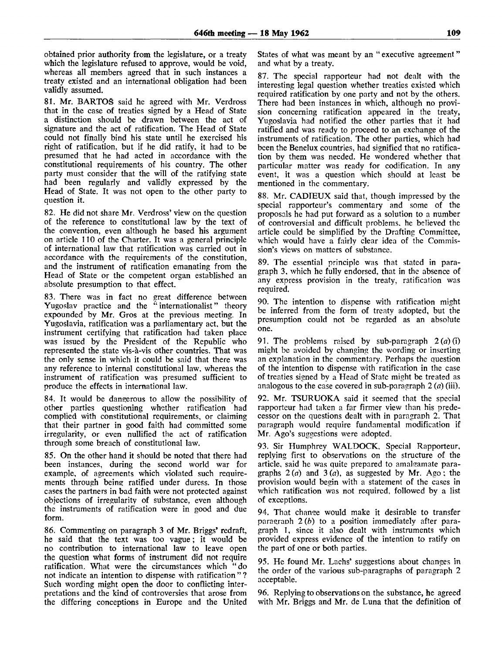obtained prior authority from the legislature, or a treaty which the legislature refused to approve, would be void, whereas all members agreed that in such instances a treaty existed and an international obligation had been validly assumed.

81. Mr. BARTOS said he agreed with Mr. Verdross that in the case of treaties signed by a Head of State a distinction should be drawn between the act of signature and the act of ratification. The Head of State could not finally bind his state until he exercised his right of ratification, but if he did ratify, it had to be presumed that he had acted in accordance with the constitutional requirements of his country. The other party must consider that the will of the ratifying state had been regularly and validly expressed by the Head of State. It was not open to the other party to question it.

82. He did not share Mr. Verdross' view on the question of the reference to constitutional law by the text of the convention, even although he based his argument on article 110 of the Charter. It was a general principle of international law that ratification was carried out in accordance with the requirements of the constitution, and the instrument of ratification emanating from the Head of State or the competent organ established an absolute presumption to that effect.

83. There was in fact no great difference between Yugoslav practice and the "internationalist" theory expounded by Mr. Gros at the previous meeting. In Yugoslavia, ratification was a parliamentary act, but the instrument certifying that ratification had taken place was issued by the President of the Republic who represented the state vis-a-vis other countries. That was the only sense in which it could be said that there was any reference to internal constitutional law, whereas the instrument of ratification was presumed sufficient to produce the effects in international law.

84. It would be dangerous to allow the possibility of other parties questioning whether ratification had complied with constitutional requirements, or claiming that their partner in good faith had committed some irregularity, or even nullified the act of ratification through some breach of constitutional law.

85. On the other hand it should be noted that there had been instances, during the second world war for example, of agreements which violated such requirements through being ratified under duress. In those cases the partners in bad faith were not protected against objections of irregularity of substance, even although the instruments of ratification were in good and due form.

86. Commenting on paragraph 3 of Mr. Briggs' redraft, he said that the text was too vague; it would be no contribution to international law to leave open the question what forms of instrument did not require ratification. What were the circumstances which "do not indicate an intention to dispense with ratification " ? Such wording might open the door to conflicting interpretations and the kind of controversies that arose from the differing conceptions in Europe and the United States of what was meant by an "executive agreement" and what by a treaty.

87. The special rapporteur had not dealt with the interesting legal question whether treaties existed which required ratification by one party and not by the others. There had been instances in which, although no provision concerning ratification appeared in the treaty, Yugoslavia had notified the other parties that it had ratified and was ready to proceed to an exchange of the instruments of ratification. The other parties, which had been the Benelux countries, had signified that no ratification by them was needed. He wondered whether that particular matter was ready for codification. In any event, it was a question which should at least be mentioned in the commentary.

88. Mr. CADIEUX said that, though impressed by the special rapporteur's commentary and some of the proposals he had put forward as a solution to a number of controversial and difficult problems, he believed the article could be simplified by the Drafting Committee, which would have a fairly clear idea of the Commission's views on matters of substance.

89. The essential principle was that stated in paragraph 3, which he fully endorsed, that in the absence of any express provision in the treaty, ratification was required.

90. The intention to dispense with ratification might be inferred from the form of treaty adopted, but the presumption could not be regarded as an absolute one.

91. The problems raised by sub-paragraph *2(a)(\)* might be avoided by changing the wording or inserting an explanation in the commentary. Perhaps the question of the intention to dispense with ratification in the case of treaties signed by a Head of State might be treated as analogous to the case covered in sub-paragraph 2 *(a)* (iii).

92. Mr. TSURUOKA said it seemed that the special rapporteur had taken a far firmer view than his predecessor on the questions dealt with in paragraph 2. That paragraph would require fundamental modification if Mr. Ago's suggestions were adopted.

93. Sir Humphrey WALDOCK, Special Rapporteur, replying first to observations on the structure of the article, said he was quite prepared to amalgamate paragraphs  $2(a)$  and  $3(a)$ , as suggested by Mr. Ago; the provision would begin with a statement of the cases in which ratification was not required, followed by a list of exceptions.

94. That chanee would make it desirable to transfer paragraph 2 *(b)* to a position immediately after paragraph 1, since it also dealt with instruments which provided express evidence of the intention to ratify on the part of one or both parties.

95. He found Mr. Lachs' suggestions about changes in the order of the various sub-paragraphs of paragraph 2 acceptable.

96. Replying to observations on the substance, he agreed with Mr. Briggs and Mr. de Luna that the definition of